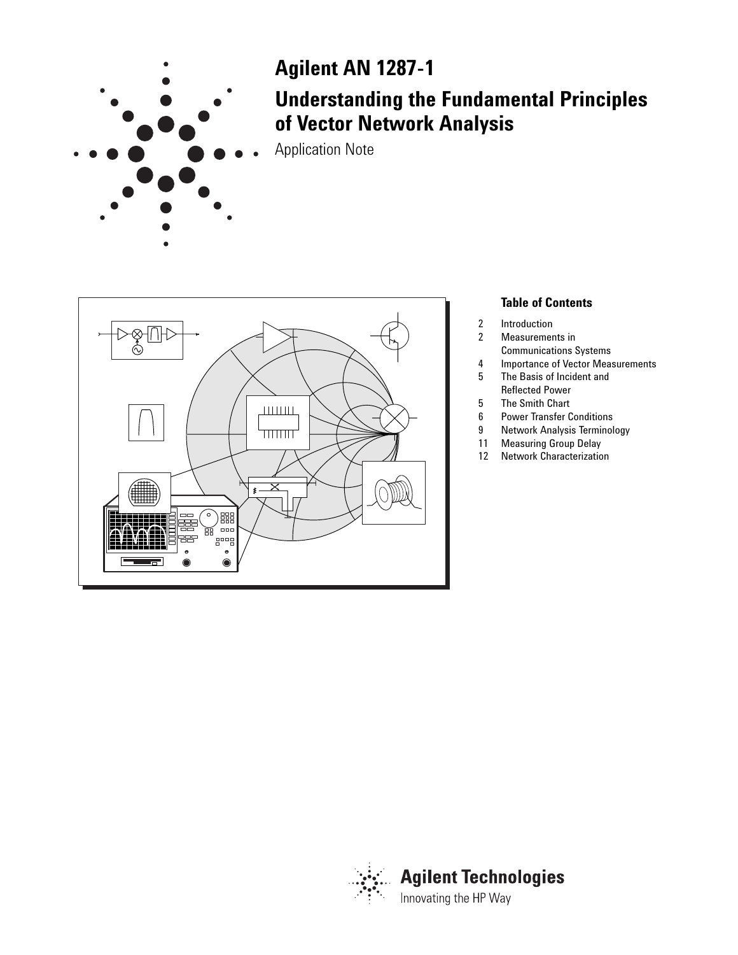

# **Agilent AN 1287-1**

# **Understanding the Fundamental Principles of Vector Network Analysis**

Application Note



# **Table of Contents**

- 2 Introduction<br>2 Measuremer
- Measurements in
- Communications Systems
- 4 Importance of Vector Measurements<br>5 The Basis of Incident and
- The Basis of Incident and Reflected Power
- 5 The Smith Chart<br>6 Power Transfer C
- **Power Transfer Conditions**
- 9 Network Analysis Terminology
- 11 Measuring Group Delay
- 12 Network Characterization

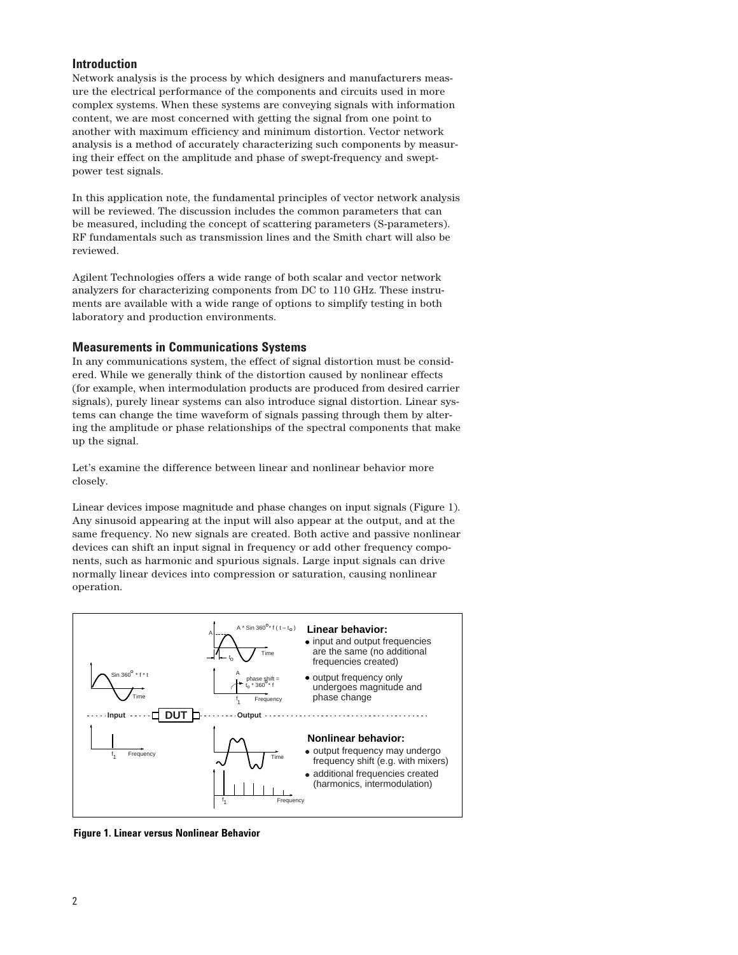# **Introduction**

Network analysis is the process by which designers and manufacturers measure the electrical performance of the components and circuits used in more complex systems. When these systems are conveying signals with information content, we are most concerned with getting the signal from one point to another with maximum efficiency and minimum distortion. Vector network analysis is a method of accurately characterizing such components by measuring their effect on the amplitude and phase of swept-frequency and sweptpower test signals.

In this application note, the fundamental principles of vector network analysis will be reviewed. The discussion includes the common parameters that can be measured, including the concept of scattering parameters (S-parameters). RF fundamentals such as transmission lines and the Smith chart will also be reviewed.

Agilent Technologies offers a wide range of both scalar and vector network analyzers for characterizing components from DC to 110 GHz. These instruments are available with a wide range of options to simplify testing in both laboratory and production environments.

#### **Measurements in Communications Systems**

In any communications system, the effect of signal distortion must be considered. While we generally think of the distortion caused by nonlinear effects (for example, when intermodulation products are produced from desired carrier signals), purely linear systems can also introduce signal distortion. Linear systems can change the time waveform of signals passing through them by altering the amplitude or phase relationships of the spectral components that make up the signal.

Let's examine the difference between linear and nonlinear behavior more closely.

Linear devices impose magnitude and phase changes on input signals (Figure 1). Any sinusoid appearing at the input will also appear at the output, and at the same frequency. No new signals are created. Both active and passive nonlinear devices can shift an input signal in frequency or add other frequency components, such as harmonic and spurious signals. Large input signals can drive normally linear devices into compression or saturation, causing nonlinear operation.



**Figure 1. Linear versus Nonlinear Behavior**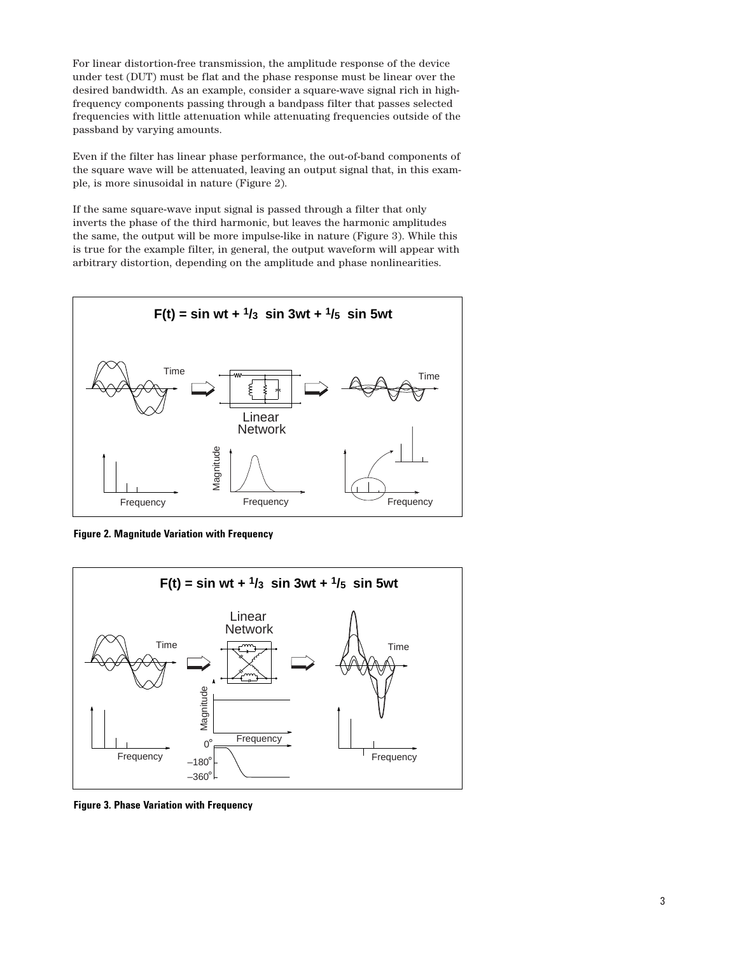For linear distortion-free transmission, the amplitude response of the device under test (DUT) must be flat and the phase response must be linear over the desired bandwidth. As an example, consider a square-wave signal rich in highfrequency components passing through a bandpass filter that passes selected frequencies with little attenuation while attenuating frequencies outside of the passband by varying amounts.

Even if the filter has linear phase performance, the out-of-band components of the square wave will be attenuated, leaving an output signal that, in this example, is more sinusoidal in nature (Figure 2).

If the same square-wave input signal is passed through a filter that only inverts the phase of the third harmonic, but leaves the harmonic amplitudes the same, the output will be more impulse-like in nature (Figure 3). While this is true for the example filter, in general, the output waveform will appear with arbitrary distortion, depending on the amplitude and phase nonlinearities.



**Figure 2. Magnitude Variation with Frequency**



**Figure 3. Phase Variation with Frequency**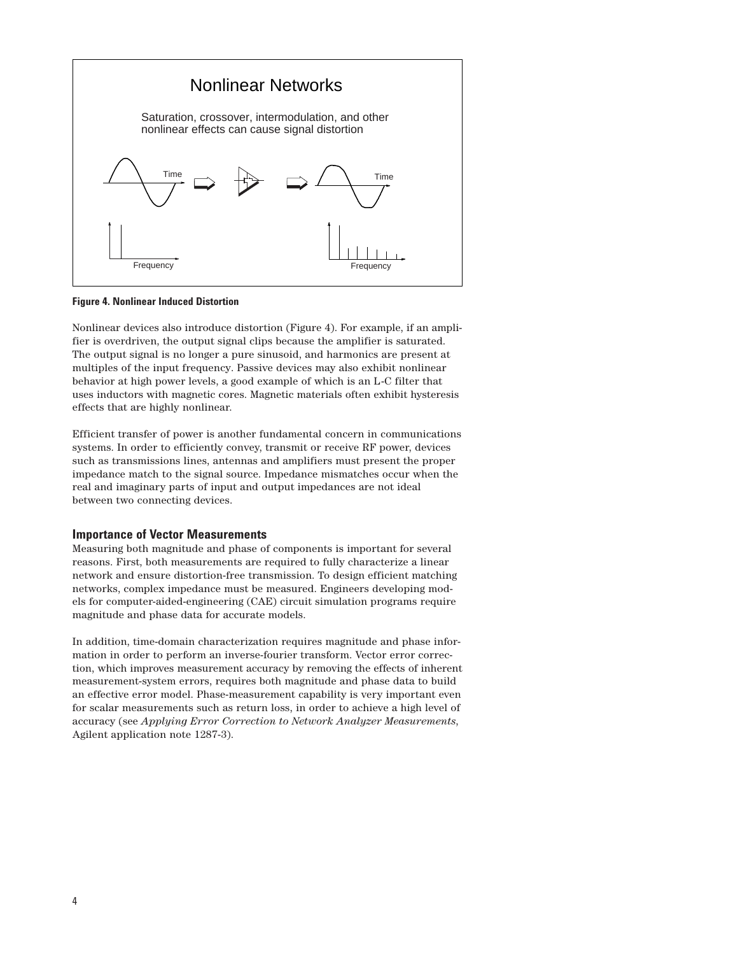

**Figure 4. Nonlinear Induced Distortion**

Nonlinear devices also introduce distortion (Figure 4). For example, if an amplifier is overdriven, the output signal clips because the amplifier is saturated. The output signal is no longer a pure sinusoid, and harmonics are present at multiples of the input frequency. Passive devices may also exhibit nonlinear behavior at high power levels, a good example of which is an L-C filter that uses inductors with magnetic cores. Magnetic materials often exhibit hysteresis effects that are highly nonlinear.

Efficient transfer of power is another fundamental concern in communications systems. In order to efficiently convey, transmit or receive RF power, devices such as transmissions lines, antennas and amplifiers must present the proper impedance match to the signal source. Impedance mismatches occur when the real and imaginary parts of input and output impedances are not ideal between two connecting devices.

#### **Importance of Vector Measurements**

Measuring both magnitude and phase of components is important for several reasons. First, both measurements are required to fully characterize a linear network and ensure distortion-free transmission. To design efficient matching networks, complex impedance must be measured. Engineers developing models for computer-aided-engineering (CAE) circuit simulation programs require magnitude and phase data for accurate models.

In addition, time-domain characterization requires magnitude and phase information in order to perform an inverse-fourier transform. Vector error correction, which improves measurement accuracy by removing the effects of inherent measurement-system errors, requires both magnitude and phase data to build an effective error model. Phase-measurement capability is very important even for scalar measurements such as return loss, in order to achieve a high level of accuracy (see *Applying Error Correction to Network Analyzer Measurements*, Agilent application note 1287-3).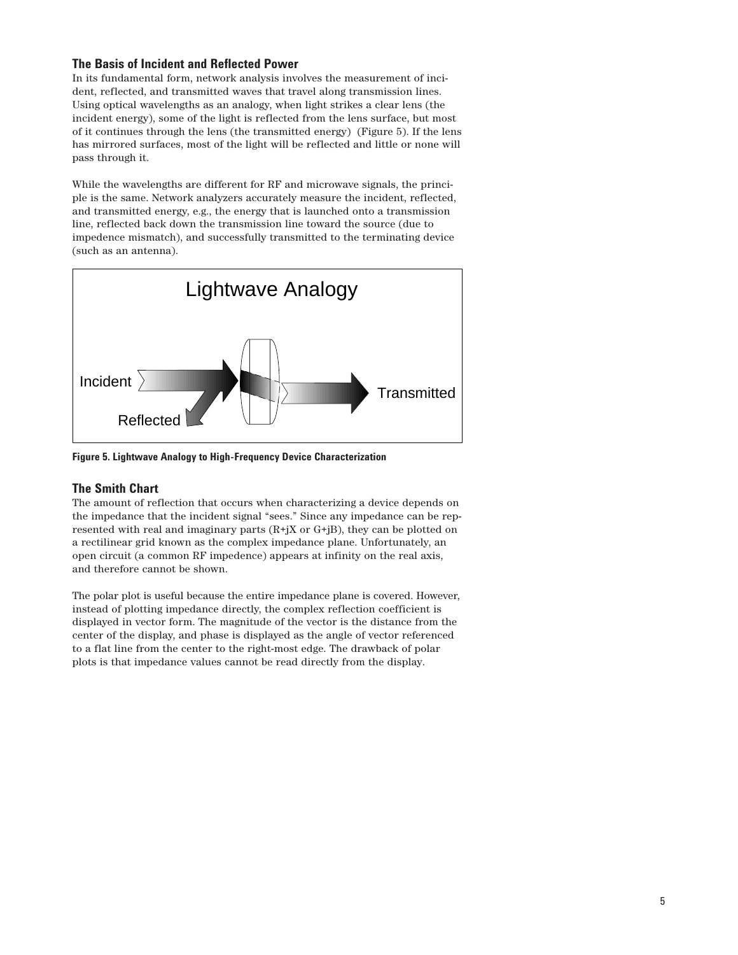# **The Basis of Incident and Reflected Power**

In its fundamental form, network analysis involves the measurement of incident, reflected, and transmitted waves that travel along transmission lines. Using optical wavelengths as an analogy, when light strikes a clear lens (the incident energy), some of the light is reflected from the lens surface, but most of it continues through the lens (the transmitted energy) (Figure 5). If the lens has mirrored surfaces, most of the light will be reflected and little or none will pass through it.

While the wavelengths are different for RF and microwave signals, the principle is the same. Network analyzers accurately measure the incident, reflected, and transmitted energy, e.g., the energy that is launched onto a transmission line, reflected back down the transmission line toward the source (due to impedence mismatch), and successfully transmitted to the terminating device (such as an antenna).



**Figure 5. Lightwave Analogy to High-Frequency Device Characterization**

# **The Smith Chart**

The amount of reflection that occurs when characterizing a device depends on the impedance that the incident signal "sees." Since any impedance can be represented with real and imaginary parts  $(R+jX \text{ or } G+jB)$ , they can be plotted on a rectilinear grid known as the complex impedance plane. Unfortunately, an open circuit (a common RF impedence) appears at infinity on the real axis, and therefore cannot be shown.

The polar plot is useful because the entire impedance plane is covered. However, instead of plotting impedance directly, the complex reflection coefficient is displayed in vector form. The magnitude of the vector is the distance from the center of the display, and phase is displayed as the angle of vector referenced to a flat line from the center to the right-most edge. The drawback of polar plots is that impedance values cannot be read directly from the display.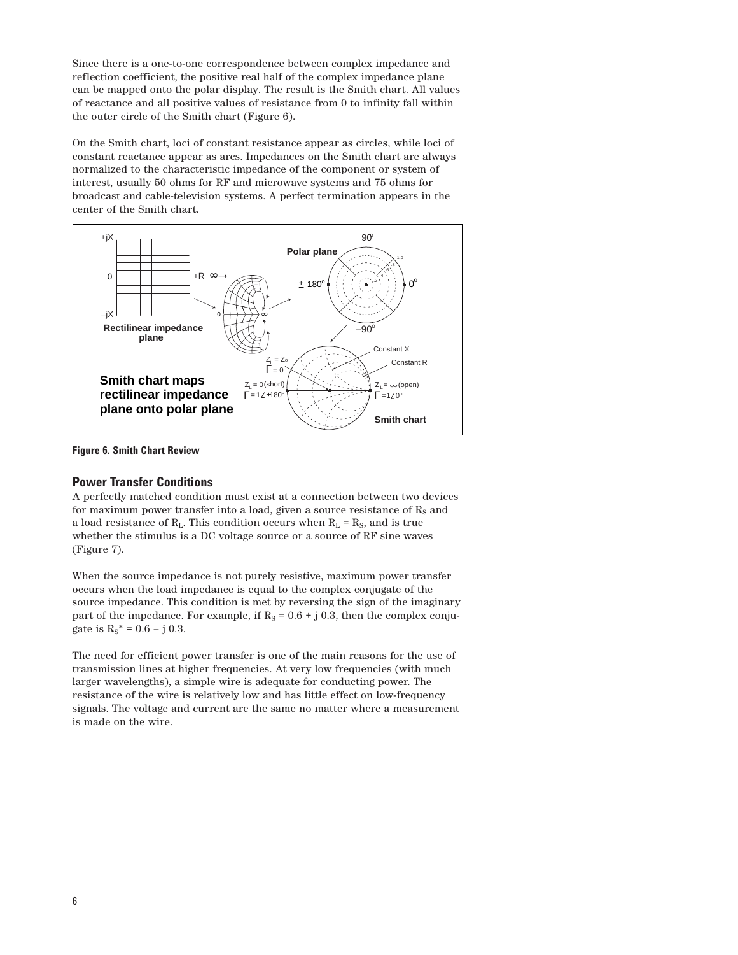Since there is a one-to-one correspondence between complex impedance and reflection coefficient, the positive real half of the complex impedance plane can be mapped onto the polar display. The result is the Smith chart. All values of reactance and all positive values of resistance from 0 to infinity fall within the outer circle of the Smith chart (Figure 6).

On the Smith chart, loci of constant resistance appear as circles, while loci of constant reactance appear as arcs. Impedances on the Smith chart are always normalized to the characteristic impedance of the component or system of interest, usually 50 ohms for RF and microwave systems and 75 ohms for broadcast and cable-television systems. A perfect termination appears in the center of the Smith chart.



**Figure 6. Smith Chart Review**

# **Power Transfer Conditions**

A perfectly matched condition must exist at a connection between two devices for maximum power transfer into a load, given a source resistance of  $\rm R_S$  and a load resistance of  $R_L$ . This condition occurs when  $R_L = R_S$ , and is true whether the stimulus is a DC voltage source or a source of RF sine waves (Figure 7).

When the source impedance is not purely resistive, maximum power transfer occurs when the load impedance is equal to the complex conjugate of the source impedance. This condition is met by reversing the sign of the imaginary part of the impedance. For example, if  $R<sub>S</sub> = 0.6 + j 0.3$ , then the complex conjugate is  $R_S^* = 0.6 - j 0.3$ .

The need for efficient power transfer is one of the main reasons for the use of transmission lines at higher frequencies. At very low frequencies (with much larger wavelengths), a simple wire is adequate for conducting power. The resistance of the wire is relatively low and has little effect on low-frequency signals. The voltage and current are the same no matter where a measurement is made on the wire.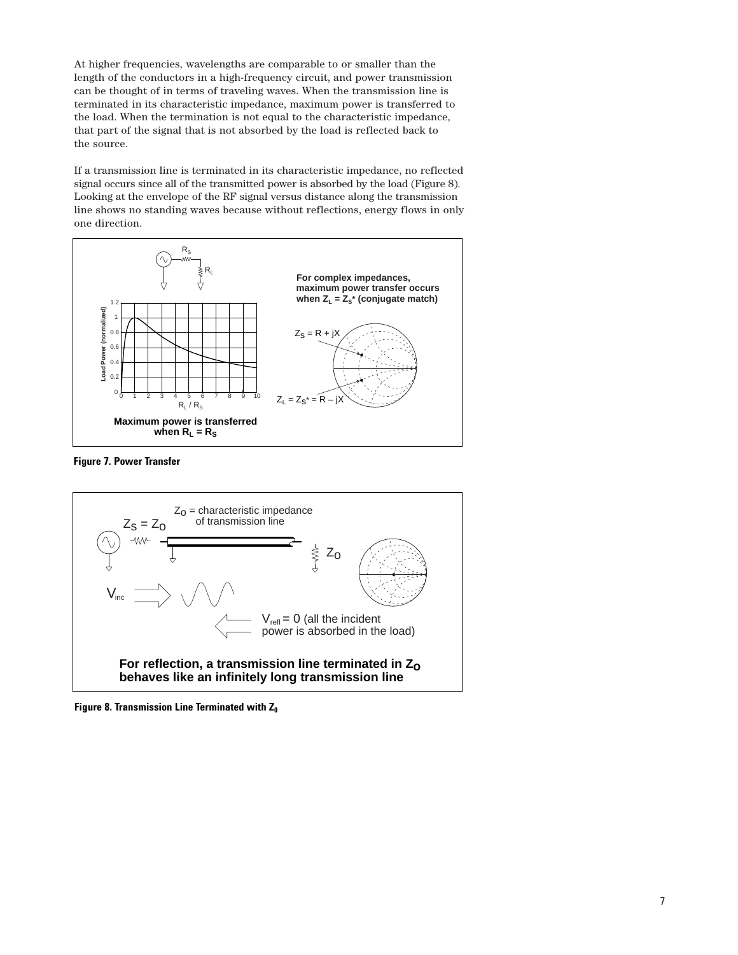At higher frequencies, wavelengths are comparable to or smaller than the length of the conductors in a high-frequency circuit, and power transmission can be thought of in terms of traveling waves. When the transmission line is terminated in its characteristic impedance, maximum power is transferred to the load. When the termination is not equal to the characteristic impedance, that part of the signal that is not absorbed by the load is reflected back to the source.

If a transmission line is terminated in its characteristic impedance, no reflected signal occurs since all of the transmitted power is absorbed by the load (Figure 8). Looking at the envelope of the RF signal versus distance along the transmission line shows no standing waves because without reflections, energy flows in only one direction.



**Figure 7. Power Transfer**



Figure 8. Transmission Line Terminated with Z<sub>0</sub>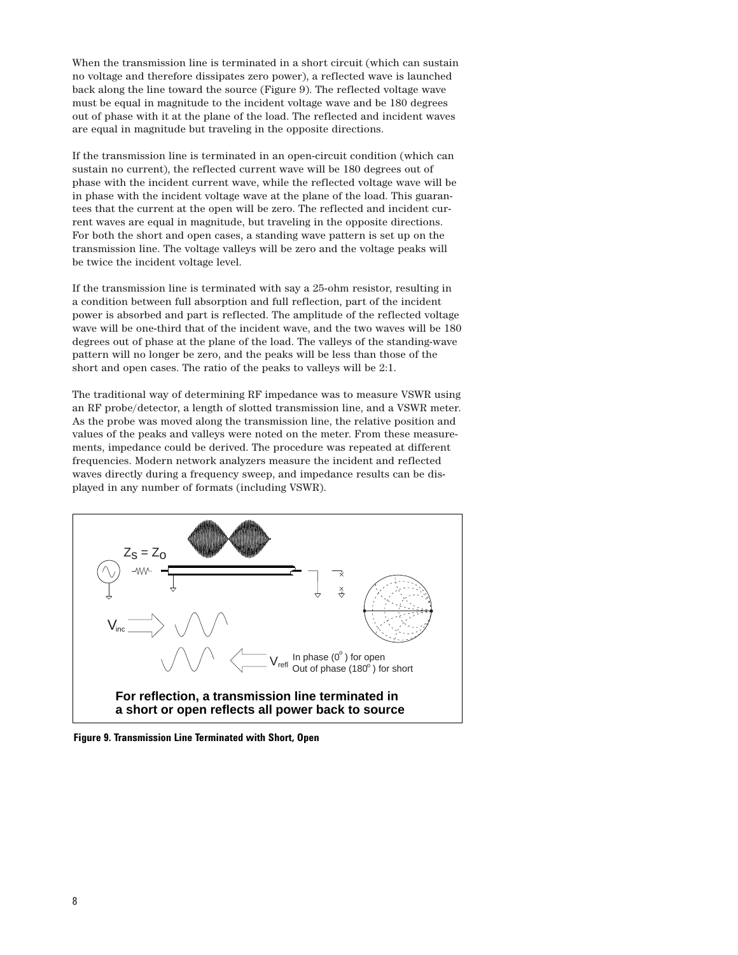When the transmission line is terminated in a short circuit (which can sustain no voltage and therefore dissipates zero power), a reflected wave is launched back along the line toward the source (Figure 9). The reflected voltage wave must be equal in magnitude to the incident voltage wave and be 180 degrees out of phase with it at the plane of the load. The reflected and incident waves are equal in magnitude but traveling in the opposite directions.

If the transmission line is terminated in an open-circuit condition (which can sustain no current), the reflected current wave will be 180 degrees out of phase with the incident current wave, while the reflected voltage wave will be in phase with the incident voltage wave at the plane of the load. This guarantees that the current at the open will be zero. The reflected and incident current waves are equal in magnitude, but traveling in the opposite directions. For both the short and open cases, a standing wave pattern is set up on the transmission line. The voltage valleys will be zero and the voltage peaks will be twice the incident voltage level.

If the transmission line is terminated with say a 25-ohm resistor, resulting in a condition between full absorption and full reflection, part of the incident power is absorbed and part is reflected. The amplitude of the reflected voltage wave will be one-third that of the incident wave, and the two waves will be 180 degrees out of phase at the plane of the load. The valleys of the standing-wave pattern will no longer be zero, and the peaks will be less than those of the short and open cases. The ratio of the peaks to valleys will be 2:1.

The traditional way of determining RF impedance was to measure VSWR using an RF probe/detector, a length of slotted transmission line, and a VSWR meter. As the probe was moved along the transmission line, the relative position and values of the peaks and valleys were noted on the meter. From these measurements, impedance could be derived. The procedure was repeated at different frequencies. Modern network analyzers measure the incident and reflected waves directly during a frequency sweep, and impedance results can be displayed in any number of formats (including VSWR).



**Figure 9. Transmission Line Terminated with Short, Open**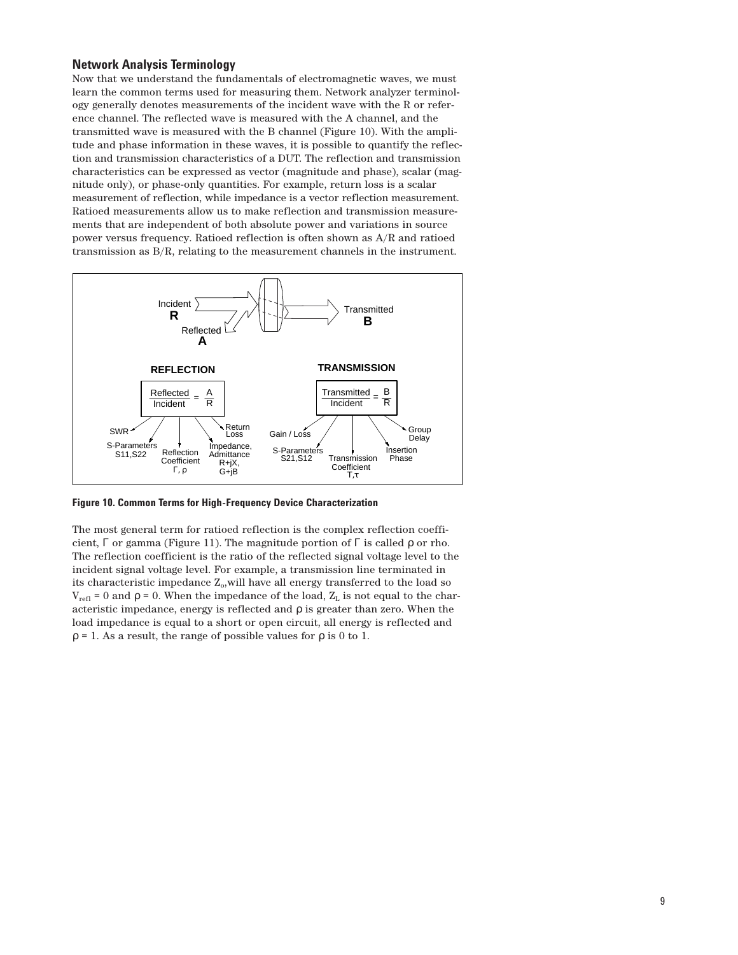#### **Network Analysis Terminology**

Now that we understand the fundamentals of electromagnetic waves, we must learn the common terms used for measuring them. Network analyzer terminology generally denotes measurements of the incident wave with the R or reference channel. The reflected wave is measured with the A channel, and the transmitted wave is measured with the B channel (Figure 10). With the amplitude and phase information in these waves, it is possible to quantify the reflection and transmission characteristics of a DUT. The reflection and transmission characteristics can be expressed as vector (magnitude and phase), scalar (magnitude only), or phase-only quantities. For example, return loss is a scalar measurement of reflection, while impedance is a vector reflection measurement. Ratioed measurements allow us to make reflection and transmission measurements that are independent of both absolute power and variations in source power versus frequency. Ratioed reflection is often shown as A/R and ratioed transmission as B/R, relating to the measurement channels in the instrument.



**Figure 10. Common Terms for High-Frequency Device Characterization**

The most general term for ratioed reflection is the complex reflection coefficient,  $\Gamma$  or gamma (Figure 11). The magnitude portion of  $\Gamma$  is called  $\rho$  or rho. The reflection coefficient is the ratio of the reflected signal voltage level to the incident signal voltage level. For example, a transmission line terminated in its characteristic impedance  $Z_0$ , will have all energy transferred to the load so  $V_{refl} = 0$  and  $\rho = 0$ . When the impedance of the load,  $Z_L$  is not equal to the characteristic impedance, energy is reflected and ρ is greater than zero. When the load impedance is equal to a short or open circuit, all energy is reflected and  $\rho = 1$ . As a result, the range of possible values for  $\rho$  is 0 to 1.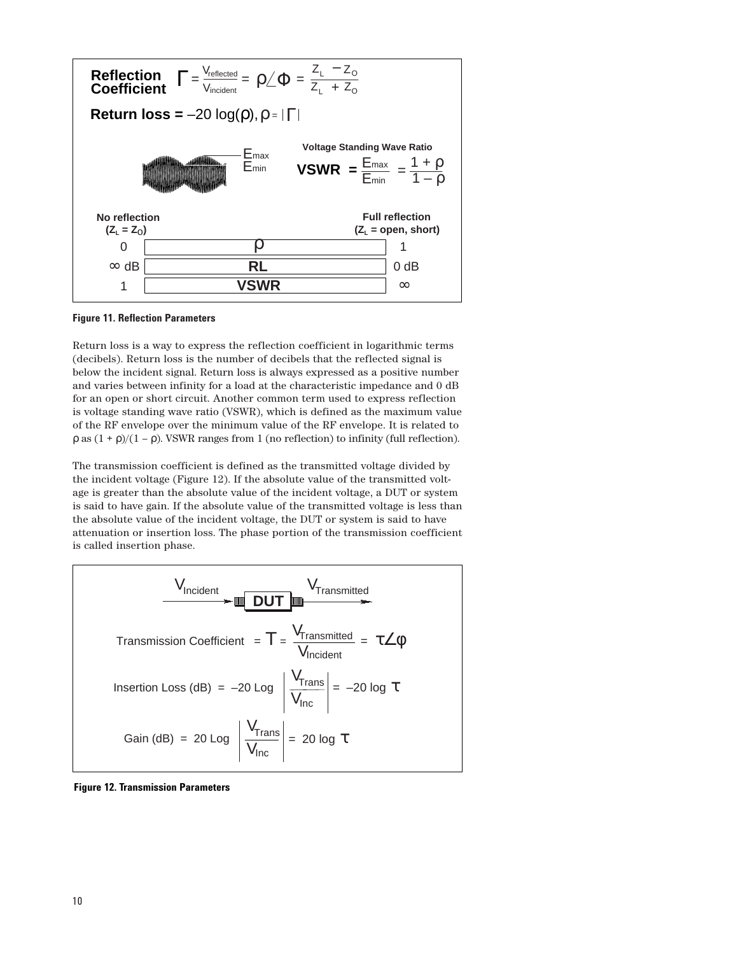



Return loss is a way to express the reflection coefficient in logarithmic terms (decibels). Return loss is the number of decibels that the reflected signal is below the incident signal. Return loss is always expressed as a positive number and varies between infinity for a load at the characteristic impedance and 0 dB for an open or short circuit. Another common term used to express reflection is voltage standing wave ratio (VSWR), which is defined as the maximum value of the RF envelope over the minimum value of the RF envelope. It is related to ρ as (1 + ρ)/(1 – ρ). VSWR ranges from 1 (no reflection) to infinity (full reflection).

The transmission coefficient is defined as the transmitted voltage divided by the incident voltage (Figure 12). If the absolute value of the transmitted voltage is greater than the absolute value of the incident voltage, a DUT or system is said to have gain. If the absolute value of the transmitted voltage is less than the absolute value of the incident voltage, the DUT or system is said to have attenuation or insertion loss. The phase portion of the transmission coefficient is called insertion phase.

$$
\frac{V_{\text{Incident}}}{\sqrt{V_{\text{Transmitted}}}} = \frac{V_{\text{Transmitted}}}{V_{\text{Incident}}} = \tau \angle \phi
$$
\nInsertion Loss (dB) = -20 Log  $\left| \frac{V_{\text{Trans}}}{V_{\text{inc}}} \right| = -20 \log \tau$ 

\nGain (dB) = 20 Log  $\left| \frac{V_{\text{Trans}}}{V_{\text{inc}}} \right| = 20 \log \tau$ 

**Figure 12. Transmission Parameters**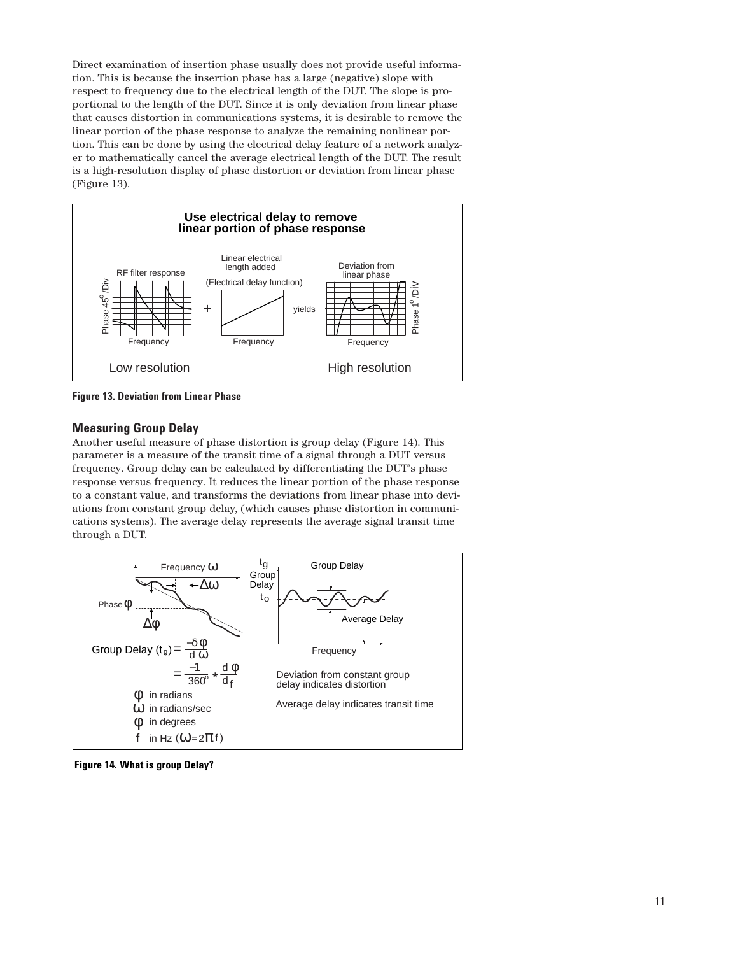Direct examination of insertion phase usually does not provide useful information. This is because the insertion phase has a large (negative) slope with respect to frequency due to the electrical length of the DUT. The slope is proportional to the length of the DUT. Since it is only deviation from linear phase that causes distortion in communications systems, it is desirable to remove the linear portion of the phase response to analyze the remaining nonlinear portion. This can be done by using the electrical delay feature of a network analyzer to mathematically cancel the average electrical length of the DUT. The result is a high-resolution display of phase distortion or deviation from linear phase (Figure 13).



**Figure 13. Deviation from Linear Phase**

# **Measuring Group Delay**

Another useful measure of phase distortion is group delay (Figure 14). This parameter is a measure of the transit time of a signal through a DUT versus frequency. Group delay can be calculated by differentiating the DUT's phase response versus frequency. It reduces the linear portion of the phase response to a constant value, and transforms the deviations from linear phase into deviations from constant group delay, (which causes phase distortion in communications systems). The average delay represents the average signal transit time through a DUT.



**Figure 14. What is group Delay?**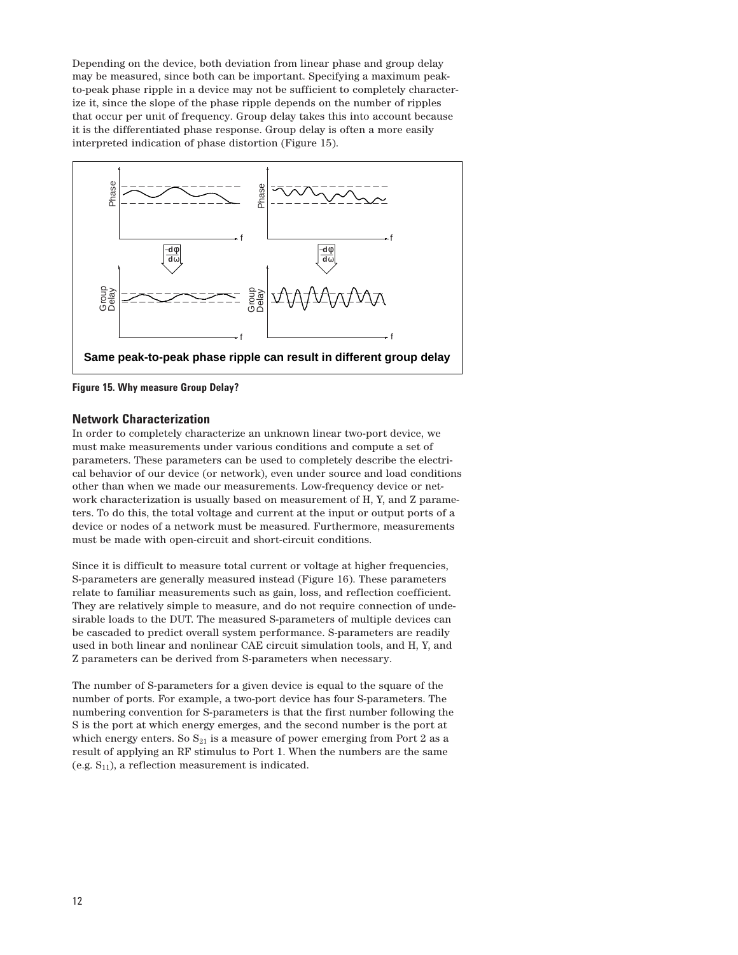Depending on the device, both deviation from linear phase and group delay may be measured, since both can be important. Specifying a maximum peakto-peak phase ripple in a device may not be sufficient to completely characterize it, since the slope of the phase ripple depends on the number of ripples that occur per unit of frequency. Group delay takes this into account because it is the differentiated phase response. Group delay is often a more easily interpreted indication of phase distortion (Figure 15).



**Figure 15. Why measure Group Delay?**

#### **Network Characterization**

In order to completely characterize an unknown linear two-port device, we must make measurements under various conditions and compute a set of parameters. These parameters can be used to completely describe the electrical behavior of our device (or network), even under source and load conditions other than when we made our measurements. Low-frequency device or network characterization is usually based on measurement of H, Y, and Z parameters. To do this, the total voltage and current at the input or output ports of a device or nodes of a network must be measured. Furthermore, measurements must be made with open-circuit and short-circuit conditions.

Since it is difficult to measure total current or voltage at higher frequencies, S-parameters are generally measured instead (Figure 16). These parameters relate to familiar measurements such as gain, loss, and reflection coefficient. They are relatively simple to measure, and do not require connection of undesirable loads to the DUT. The measured S-parameters of multiple devices can be cascaded to predict overall system performance. S-parameters are readily used in both linear and nonlinear CAE circuit simulation tools, and H, Y, and Z parameters can be derived from S-parameters when necessary.

The number of S-parameters for a given device is equal to the square of the number of ports. For example, a two-port device has four S-parameters. The numbering convention for S-parameters is that the first number following the S is the port at which energy emerges, and the second number is the port at which energy enters. So  $S_{21}$  is a measure of power emerging from Port 2 as a result of applying an RF stimulus to Port 1. When the numbers are the same (e.g.  $S_{11}$ ), a reflection measurement is indicated.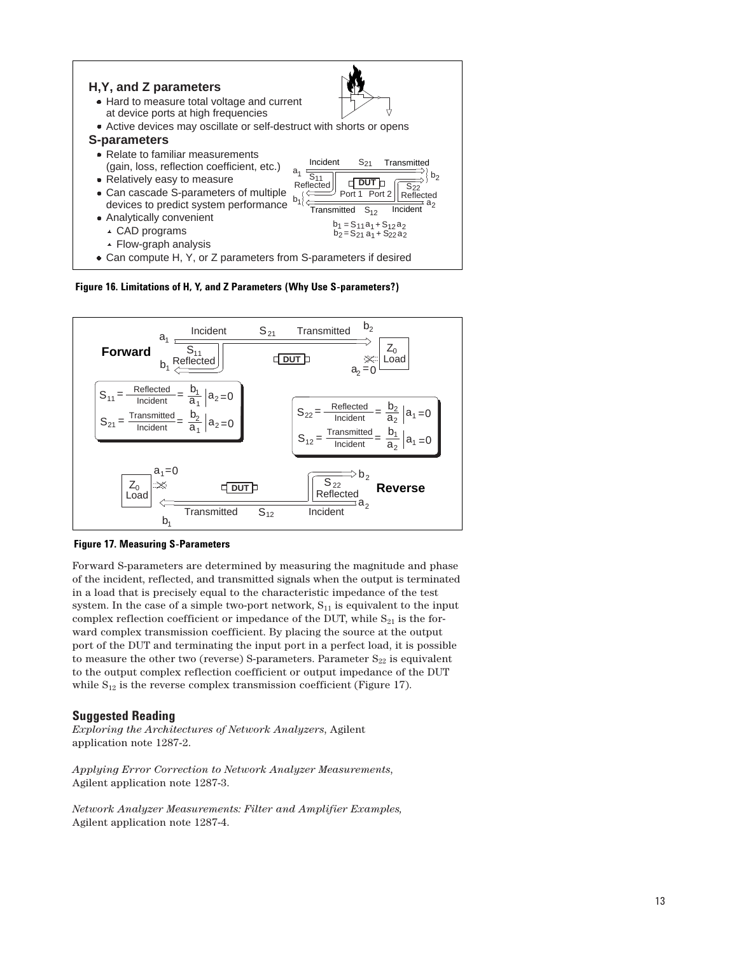

**Figure 16. Limitations of H, Y, and Z Parameters (Why Use S-parameters?)**



**Figure 17. Measuring S-Parameters**

Forward S-parameters are determined by measuring the magnitude and phase of the incident, reflected, and transmitted signals when the output is terminated in a load that is precisely equal to the characteristic impedance of the test system. In the case of a simple two-port network,  $S_{11}$  is equivalent to the input complex reflection coefficient or impedance of the DUT, while  $S_{21}$  is the forward complex transmission coefficient. By placing the source at the output port of the DUT and terminating the input port in a perfect load, it is possible to measure the other two (reverse) S-parameters. Parameter  $S_{22}$  is equivalent to the output complex reflection coefficient or output impedance of the DUT while  $S_{12}$  is the reverse complex transmission coefficient (Figure 17).

# **Suggested Reading**

*Exploring the Architectures of Network Analyzers*, Agilent application note 1287-2.

*Applying Error Correction to Network Analyzer Measurements*, Agilent application note 1287-3.

*Network Analyzer Measurements: Filter and Amplifier Examples,* Agilent application note 1287-4.